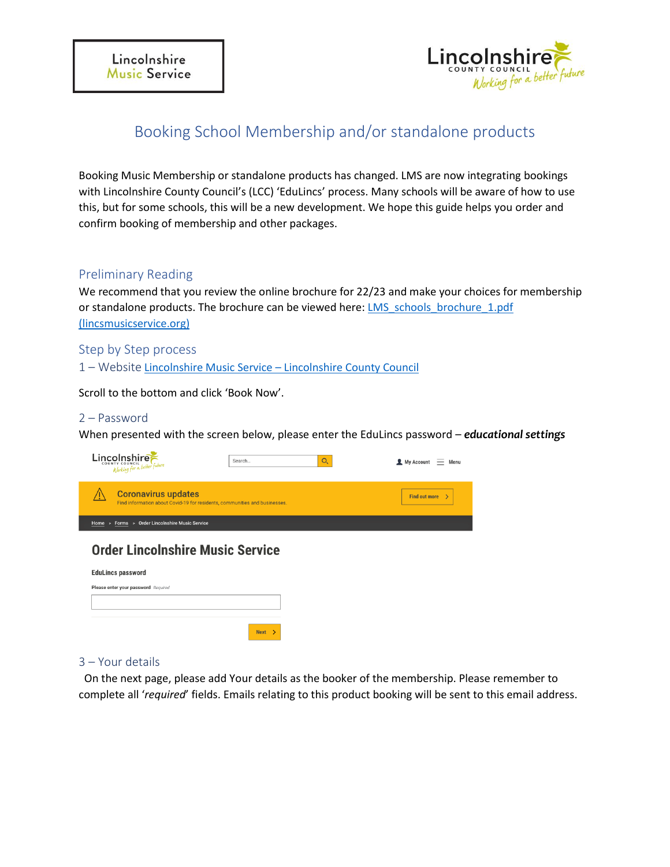

# Booking School Membership and/or standalone products

Booking Music Membership or standalone products has changed. LMS are now integrating bookings with Lincolnshire County Council's (LCC) 'EduLincs' process. Many schools will be aware of how to use this, but for some schools, this will be a new development. We hope this guide helps you order and confirm booking of membership and other packages.

# Preliminary Reading

We recommend that you review the online brochure for 22/23 and make your choices for membership or standalone products. The brochure can be viewed here: LMS\_schools\_brochure\_1.pdf [\(lincsmusicservice.org\)](https://www.lincsmusicservice.org/assets/downloads/LMS_schools_brochure_1.pdf)

Step by Step process

1 – Website Lincolnshire Music Service – [Lincolnshire County Council](https://www.lincolnshire.gov.uk/directory-record/63806/lincolnshire-music-service)

Scroll to the bottom and click 'Book Now'.

### 2 – Password

When presented with the screen below, please enter the EduLincs password – *educational settings*

| Lincolnshire                                                                                             | $O_{\scriptscriptstyle\chi}$<br>Search | My Account<br>Menu        |
|----------------------------------------------------------------------------------------------------------|----------------------------------------|---------------------------|
| <b>Coronavirus updates</b><br>Find information about Covid-19 for residents, communities and businesses. |                                        | <b>Find out more</b><br>↘ |
| Forms > Order Lincolnshire Music Service<br>Home<br>$\,$ $\,$                                            |                                        |                           |
| <b>Order Lincolnshire Music Service</b><br><b>EduLincs password</b>                                      |                                        |                           |
| Please enter your password Required                                                                      |                                        |                           |
|                                                                                                          |                                        |                           |
|                                                                                                          | <b>Next</b>                            |                           |

### 3 – Your details

On the next page, please add Your details as the booker of the membership. Please remember to complete all '*required*' fields. Emails relating to this product booking will be sent to this email address.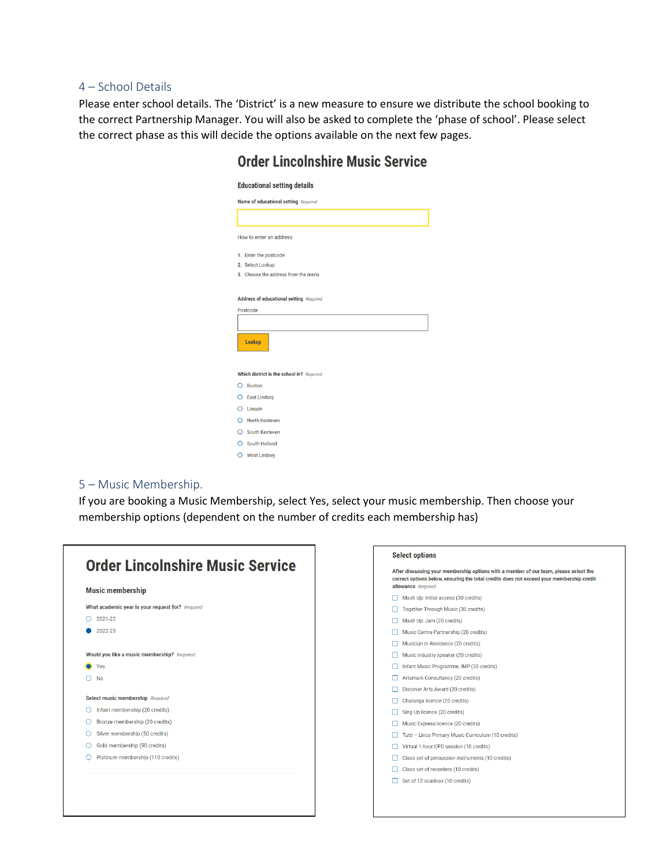#### 4 – School Details

Please enter school details. The 'District' is a new measure to ensure we distribute the school booking to the correct Partnership Manager. You will also be asked to complete the 'phase of school'. Please select the correct phase as this will decide the options available on the next few pages.

| Name of educational setting Required      |  |  |  |
|-------------------------------------------|--|--|--|
|                                           |  |  |  |
| How to enter an address                   |  |  |  |
| 1. Enter the postcode                     |  |  |  |
| 2. Select Lookup                          |  |  |  |
| 3. Choose the address from the menu       |  |  |  |
|                                           |  |  |  |
| Address of educational setting Required   |  |  |  |
| Postcode                                  |  |  |  |
|                                           |  |  |  |
|                                           |  |  |  |
| Lookup                                    |  |  |  |
|                                           |  |  |  |
|                                           |  |  |  |
|                                           |  |  |  |
| Which district is the school in? Required |  |  |  |
| O Boston                                  |  |  |  |
| C East Lindsey                            |  |  |  |
| $O$ Lincoln                               |  |  |  |
| O North Kesteven                          |  |  |  |
| O South Kesteven                          |  |  |  |
| O South Holland                           |  |  |  |

# **Order Lincolnshire Music Service**

#### 5 – Music Membership.

If you are booking a Music Membership, select Yes, select your music membership. Then choose your membership options (dependent on the number of credits each membership has)

|   | <b>Music membership</b>                          |
|---|--------------------------------------------------|
|   | What academic year is your request for? Required |
| ∩ | 2021-22                                          |
|   | 2022-23                                          |
|   | Would you like a music membership? Required      |
|   | Yes                                              |
|   | <b>No</b>                                        |
|   | Select music membership Required                 |
| ∩ | Infant membership (20 credits)                   |
| ∩ | Bronze membership (20 credits)                   |
| ∩ | Silver membership (50 credits)                   |
| ∩ | Gold membership (90 credits)                     |
| ∩ | Platinum membership (110 credits)                |

#### **Select options** After discussing your membership options with a member of our team, please select the correct options below, ensuring the total credits does not exceed your membership credit allowance Required Mash Up: Initial access (30 credits) Together Through Music (30 credits) Mash Up: Jam (20 credits) Music Centre Partnership (20 credits) Musician in Residence (20 credits) Music industry speaker (20 credits) Infant Music Programme, IMP (20 credits) Artsmark Consultancy (20 credits) Discover Arts Award (20 credits) Charanga licence (20 credits) Sing Up licence (20 credits) Music Express licence (20 credits) Tutti - Lincs Primary Music Curriculum (10 credits) Virtual 1 hour CPD session (10 credits) □ Class set of percussion instruments (10 credits) □ Class set of recorders (10 credits) Set of 12 ocarinas (10 credits)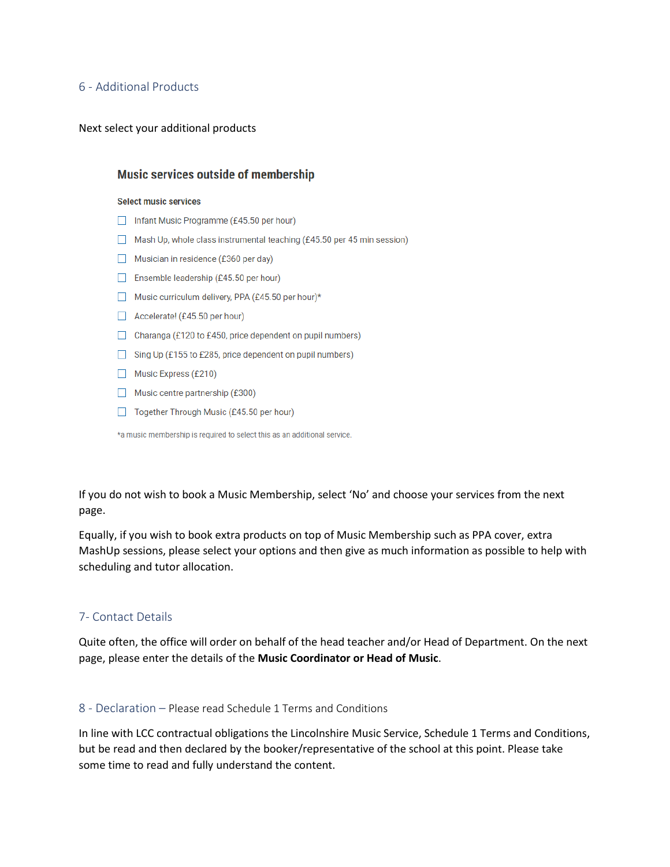### 6 - Additional Products

#### Next select your additional products

### **Music services outside of membership**

#### **Select music services**

- Infant Music Programme (£45.50 per hour)
- Mash Up, whole class instrumental teaching  $(f45.50)$  per 45 min session)
- Musician in residence (£360 per day)
- Ensemble leadership (£45.50 per hour)
- Music curriculum delivery, PPA (£45.50 per hour)\*
- Accelerate! (£45.50 per hour)
- □ Charanga (£120 to £450, price dependent on pupil numbers)
- Sing Up (£155 to £285, price dependent on pupil numbers)
- Music Express (£210)
- Music centre partnership  $(£300)$
- Together Through Music (£45.50 per hour)

\*a music membership is required to select this as an additional service.

If you do not wish to book a Music Membership, select 'No' and choose your services from the next page.

Equally, if you wish to book extra products on top of Music Membership such as PPA cover, extra MashUp sessions, please select your options and then give as much information as possible to help with scheduling and tutor allocation.

### 7- Contact Details

Quite often, the office will order on behalf of the head teacher and/or Head of Department. On the next page, please enter the details of the **Music Coordinator or Head of Music**.

#### 8 - Declaration – Please read Schedule 1 Terms and Conditions

In line with LCC contractual obligations the Lincolnshire Music Service, Schedule 1 Terms and Conditions, but be read and then declared by the booker/representative of the school at this point. Please take some time to read and fully understand the content.